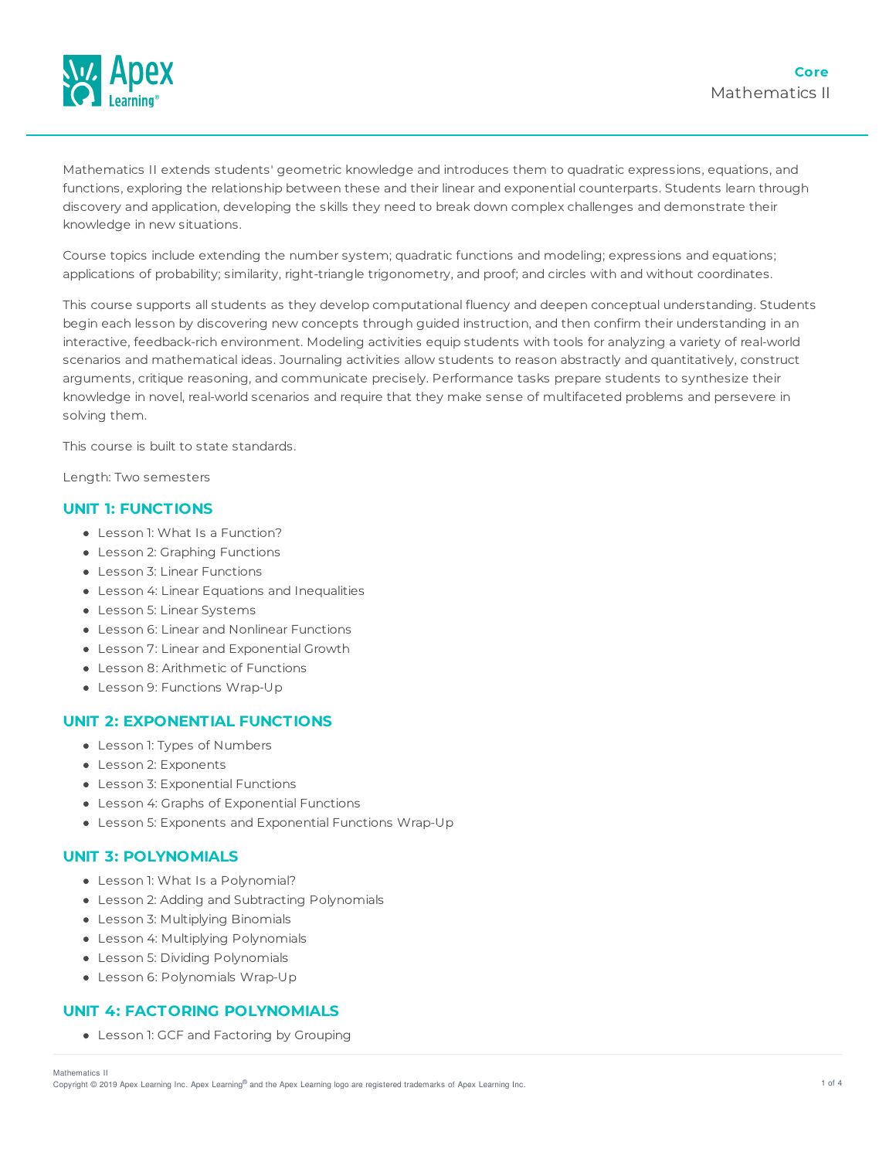

Mathematics II extends students' geometric knowledge and introduces them to quadratic expressions, equations, and functions, exploring the relationship between these and their linear and exponential counterparts. Students learn through discovery and application, developing the skills they need to break down complex challenges and demonstrate their knowledge in new situations.

Course topics include extending the number system; quadratic functions and modeling; expressions and equations; applications of probability; similarity, right-triangle trigonometry, and proof; and circles with and without coordinates.

This course supports all students as they develop computational fluency and deepen conceptual understanding. Students begin each lesson by discovering new concepts through guided instruction, and then confirm their understanding in an interactive, feedback-rich environment. Modeling activities equip students with tools for analyzing a variety of real-world scenarios and mathematical ideas. Journaling activities allow students to reason abstractly and quantitatively, construct arguments, critique reasoning, and communicate precisely. Performance tasks prepare students to synthesize their knowledge in novel, real-world scenarios and require that they make sense of multifaceted problems and persevere in solving them.

This course is built to state standards.

Length: Two semesters

### **UNIT 1: FUNCTIONS**

- Lesson 1: What Is a Function?
- Lesson 2: Graphing Functions
- Lesson 3: Linear Functions
- Lesson 4: Linear Equations and Inequalities
- Lesson 5: Linear Systems
- Lesson 6: Linear and Nonlinear Functions
- Lesson 7: Linear and Exponential Growth
- Lesson 8: Arithmetic of Functions
- Lesson 9: Functions Wrap-Up

#### **UNIT 2: EXPONENTIAL FUNCTIONS**

- Lesson 1: Types of Numbers
- Lesson 2: Exponents
- Lesson 3: Exponential Functions
- Lesson 4: Graphs of Exponential Functions
- Lesson 5: Exponents and Exponential Functions Wrap-Up

## **UNIT 3: POLYNOMIALS**

- Lesson 1: What Is a Polynomial?
- Lesson 2: Adding and Subtracting Polynomials
- Lesson 3: Multiplying Binomials
- Lesson 4: Multiplying Polynomials
- Lesson 5: Dividing Polynomials
- Lesson 6: Polynomials Wrap-Up

## **UNIT 4: FACTORING POLYNOMIALS**

Lesson 1: GCF and Factoring by Grouping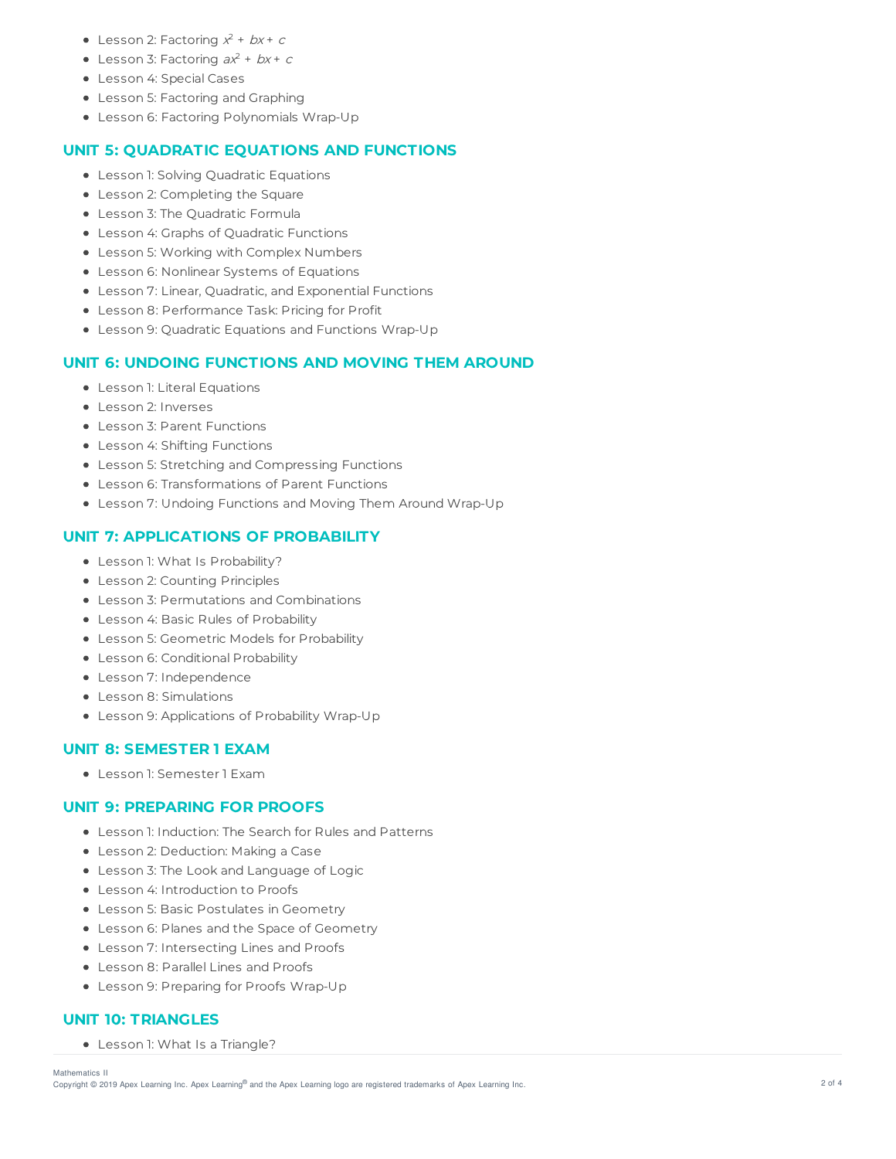- Lesson 2: Factoring  $x^2 + bx + c$
- Lesson 3: Factoring  $ax^2 + bx + c$
- Lesson 4: Special Cases
- Lesson 5: Factoring and Graphing
- Lesson 6: Factoring Polynomials Wrap-Up

## **UNIT 5: QUADRATIC EQUATIONS AND FUNCTIONS**

- **•** Lesson 1: Solving Quadratic Equations
- Lesson 2: Completing the Square
- Lesson 3: The Quadratic Formula
- Lesson 4: Graphs of Quadratic Functions
- Lesson 5: Working with Complex Numbers
- Lesson 6: Nonlinear Systems of Equations
- Lesson 7: Linear, Quadratic, and Exponential Functions
- Lesson 8: Performance Task: Pricing for Profit
- Lesson 9: Quadratic Equations and Functions Wrap-Up

### **UNIT 6: UNDOING FUNCTIONS AND MOVING THEM AROUND**

- Lesson 1: Literal Equations
- **Lesson 2: Inverses**
- Lesson 3: Parent Functions
- Lesson 4: Shifting Functions
- Lesson 5: Stretching and Compressing Functions
- Lesson 6: Transformations of Parent Functions
- Lesson 7: Undoing Functions and Moving Them Around Wrap-Up

## **UNIT 7: APPLICATIONS OF PROBABILITY**

- Lesson 1: What Is Probability?
- Lesson 2: Counting Principles
- Lesson 3: Permutations and Combinations
- Lesson 4: Basic Rules of Probability
- Lesson 5: Geometric Models for Probability
- Lesson 6: Conditional Probability
- Lesson 7: Independence
- Lesson 8: Simulations
- Lesson 9: Applications of Probability Wrap-Up

### **UNIT 8: SEMESTER 1 EXAM**

Lesson 1: Semester 1 Exam

#### **UNIT 9: PREPARING FOR PROOFS**

- Lesson 1: Induction: The Search for Rules and Patterns
- Lesson 2: Deduction: Making a Case
- Lesson 3: The Look and Language of Logic
- Lesson 4: Introduction to Proofs
- Lesson 5: Basic Postulates in Geometry
- Lesson 6: Planes and the Space of Geometry
- Lesson 7: Intersecting Lines and Proofs
- Lesson 8: Parallel Lines and Proofs
- Lesson 9: Preparing for Proofs Wrap-Up

## **UNIT 10: TRIANGLES**

• Lesson 1: What Is a Triangle?

Mathematics II

Copyright © 2019 Apex Learning Inc. Apex Learning® and the Apex Learning logo are registered trademarks of Apex Learning Inc. <br>Copyright © 2019 Apex Learning Inc. Apex Learning® and the Apex Learning Iogo are registered tr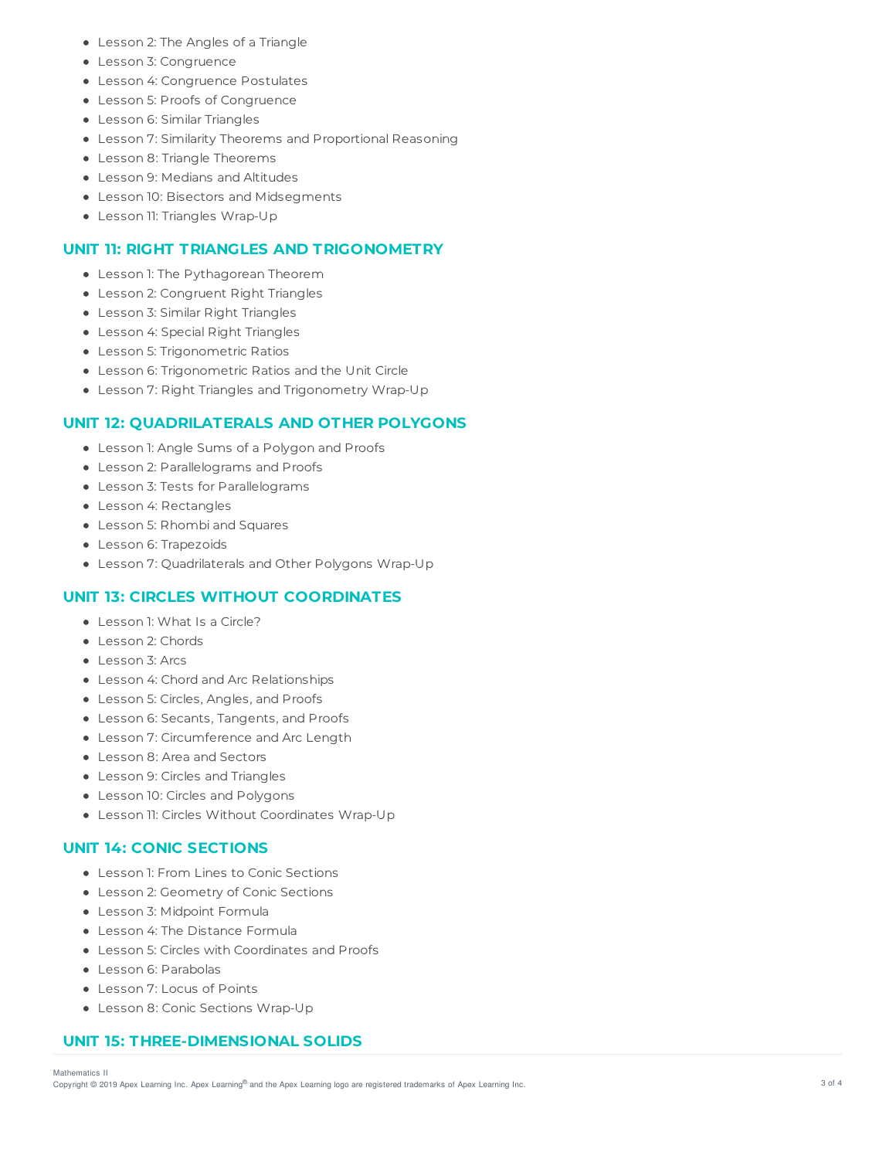- Lesson 2: The Angles of a Triangle
- Lesson 3: Congruence
- Lesson 4: Congruence Postulates
- Lesson 5: Proofs of Congruence
- Lesson 6: Similar Triangles
- Lesson 7: Similarity Theorems and Proportional Reasoning
- Lesson 8: Triangle Theorems
- Lesson 9: Medians and Altitudes
- Lesson 10: Bisectors and Midsegments
- Lesson 11: Triangles Wrap-Up

## **UNIT 11: RIGHT TRIANGLES AND TRIGONOMETRY**

- Lesson 1: The Pythagorean Theorem
- Lesson 2: Congruent Right Triangles
- Lesson 3: Similar Right Triangles
- Lesson 4: Special Right Triangles
- Lesson 5: Trigonometric Ratios
- Lesson 6: Trigonometric Ratios and the Unit Circle
- Lesson 7: Right Triangles and Trigonometry Wrap-Up

## **UNIT 12: QUADRILATERALS AND OTHER POLYGONS**

- Lesson 1: Angle Sums of a Polygon and Proofs
- Lesson 2: Parallelograms and Proofs
- Lesson 3: Tests for Parallelograms
- Lesson 4: Rectangles
- Lesson 5: Rhombi and Squares
- Lesson 6: Trapezoids
- Lesson 7: Quadrilaterals and Other Polygons Wrap-Up

### **UNIT 13: CIRCLES WITHOUT COORDINATES**

- Lesson 1: What Is a Circle?
- Lesson 2: Chords
- Lesson 3: Arcs
- Lesson 4: Chord and Arc Relationships
- Lesson 5: Circles, Angles, and Proofs
- Lesson 6: Secants, Tangents, and Proofs
- Lesson 7: Circumference and Arc Length
- Lesson 8: Area and Sectors
- Lesson 9: Circles and Triangles
- Lesson 10: Circles and Polygons
- Lesson 11: Circles Without Coordinates Wrap-Up

## **UNIT 14: CONIC SECTIONS**

- Lesson 1: From Lines to Conic Sections
- Lesson 2: Geometry of Conic Sections
- Lesson 3: Midpoint Formula
- Lesson 4: The Distance Formula
- Lesson 5: Circles with Coordinates and Proofs
- Lesson 6: Parabolas
- Lesson 7: Locus of Points
- Lesson 8: Conic Sections Wrap-Up

## **UNIT 15: THREE-DIMENSIONAL SOLIDS**

Copyright © 2019 Apex Learning Inc. Apex Learning® and the Apex Learning logo are registered trademarks of Apex Learning Inc. <br>Copyright © 2019 Apex Learning Inc. Apex Learning® and the Apex Learning Iogo are registered tr Mathematics II